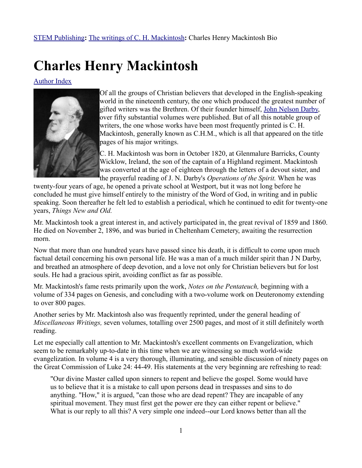## **Charles Henry Mackintosh**

[Author Index](http://www.stempublishing.com/authors/mackintosh/)



Of all the groups of Christian believers that developed in the English-speaking world in the nineteenth century, the one which produced the greatest number of gifted writers was the Brethren. Of their founder himself, [John Nelson Darby,](http://www.stempublishing.com/authors/Biographies/jndarby.html) over fifty substantial volumes were published. But of all this notable group of writers, the one whose works have been most frequently printed is C. H. Mackintosh, generally known as C.H.M., which is all that appeared on the title pages of his major writings.

C. H. Mackintosh was born in October 1820, at Glenmalure Barricks, County Wicklow, Ireland, the son of the captain of a Highland regiment. Mackintosh was converted at the age of eighteen through the letters of a devout sister, and the prayerful reading of J. N. Darby's *Operations of the Spirit.* When he was

twenty-four years of age, he opened a private school at Westport, but it was not long before he concluded he must give himself entirely to the ministry of the Word of God, in writing and in public speaking. Soon thereafter he felt led to establish a periodical, which he continued to edit for twenty-one years, *Things New and Old.*

Mr. Mackintosh took a great interest in, and actively participated in, the great revival of 1859 and 1860. He died on November 2, 1896, and was buried in Cheltenham Cemetery, awaiting the resurrection morn.

Now that more than one hundred years have passed since his death, it is difficult to come upon much factual detail concerning his own personal life. He was a man of a much milder spirit than J N Darby, and breathed an atmosphere of deep devotion, and a love not only for Christian believers but for lost souls. He had a gracious spirit, avoiding conflict as far as possible.

Mr. Mackintosh's fame rests primarily upon the work, *Notes on the Pentateuch,* beginning with a volume of 334 pages on Genesis, and concluding with a two-volume work on Deuteronomy extending to over 800 pages.

Another series by Mr. Mackintosh also was frequently reprinted, under the general heading of *Miscellaneous Writings,* seven volumes, totalling over 2500 pages, and most of it still definitely worth reading.

Let me especially call attention to Mr. Mackintosh's excellent comments on Evangelization, which seem to be remarkably up-to-date in this time when we are witnessing so much world-wide evangelization. In volume 4 is a very thorough, illuminating, and sensible discussion of ninety pages on the Great Commission of Luke 24: 44-49. His statements at the very beginning are refreshing to read:

"Our divine Master called upon sinners to repent and believe the gospel. Some would have us to believe that it is a mistake to call upon persons dead in trespasses and sins to do anything. "How," it is argued, "can those who are dead repent? They are incapable of any spiritual movement. They must first get the power ere they can either repent or believe." What is our reply to all this? A very simple one indeed--our Lord knows better than all the